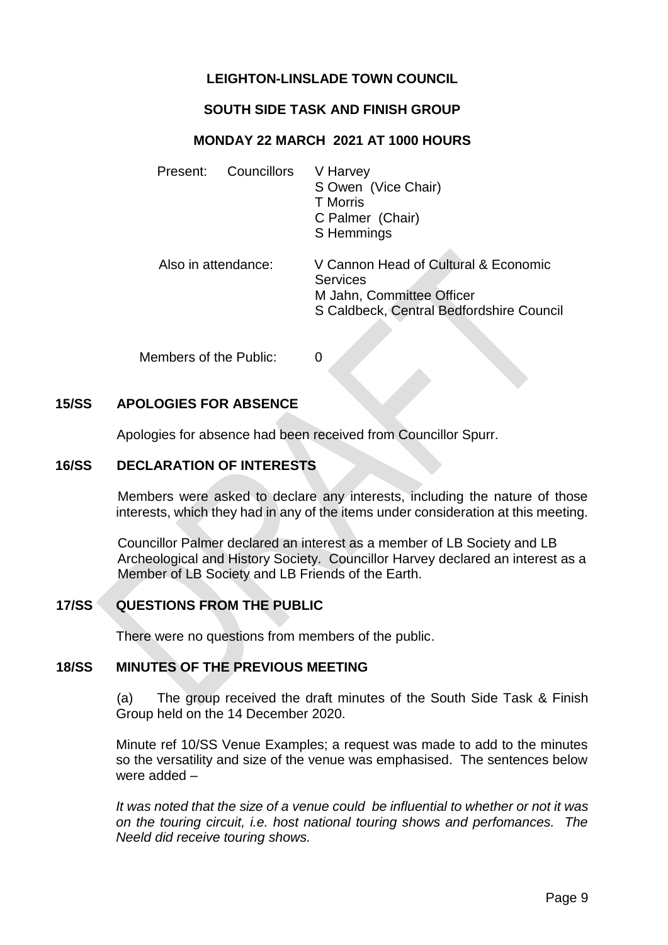# **LEIGHTON-LINSLADE TOWN COUNCIL**

## **SOUTH SIDE TASK AND FINISH GROUP**

### **MONDAY 22 MARCH 2021 AT 1000 HOURS**

|                     | Present: Councillors | V Harvey<br>S Owen (Vice Chair)<br><b>T</b> Morris<br>C Palmer (Chair)<br>S Hemmings                                             |
|---------------------|----------------------|----------------------------------------------------------------------------------------------------------------------------------|
| Also in attendance: |                      | V Cannon Head of Cultural & Economic<br><b>Services</b><br>M Jahn, Committee Officer<br>S Caldbeck, Central Bedfordshire Council |

Members of the Public: 0

### **15/SS APOLOGIES FOR ABSENCE**

Apologies for absence had been received from Councillor Spurr.

#### **16/SS DECLARATION OF INTERESTS**

Members were asked to declare any interests, including the nature of those interests, which they had in any of the items under consideration at this meeting.

 Councillor Palmer declared an interest as a member of LB Society and LB Archeological and History Society. Councillor Harvey declared an interest as a Member of LB Society and LB Friends of the Earth.

## **17/SS QUESTIONS FROM THE PUBLIC**

There were no questions from members of the public.

#### **18/SS MINUTES OF THE PREVIOUS MEETING**

(a) The group received the draft minutes of the South Side Task & Finish Group held on the 14 December 2020.

Minute ref 10/SS Venue Examples; a request was made to add to the minutes so the versatility and size of the venue was emphasised. The sentences below were added –

*It was noted that the size of a venue could be influential to whether or not it was on the touring circuit, i.e. host national touring shows and perfomances. The Neeld did receive touring shows.*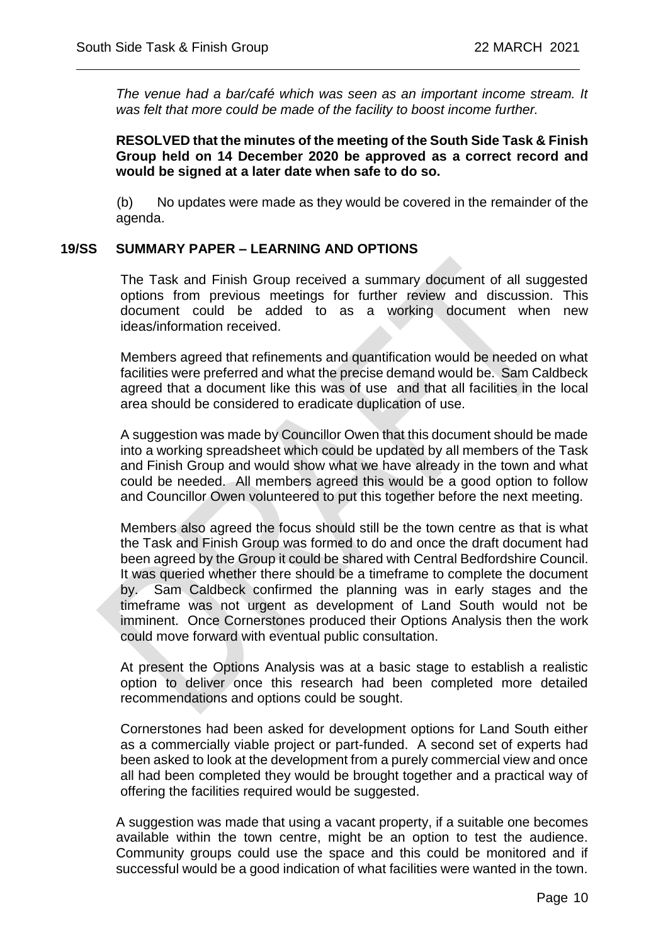*The venue had a bar/café which was seen as an important income stream. It was felt that more could be made of the facility to boost income further.* 

 $\overline{a}$ 

### **RESOLVED that the minutes of the meeting of the South Side Task & Finish Group held on 14 December 2020 be approved as a correct record and would be signed at a later date when safe to do so.**

(b) No updates were made as they would be covered in the remainder of the agenda.

### **19/SS SUMMARY PAPER – LEARNING AND OPTIONS**

The Task and Finish Group received a summary document of all suggested options from previous meetings for further review and discussion. This document could be added to as a working document when new ideas/information received.

Members agreed that refinements and quantification would be needed on what facilities were preferred and what the precise demand would be. Sam Caldbeck agreed that a document like this was of use and that all facilities in the local area should be considered to eradicate duplication of use.

A suggestion was made by Councillor Owen that this document should be made into a working spreadsheet which could be updated by all members of the Task and Finish Group and would show what we have already in the town and what could be needed. All members agreed this would be a good option to follow and Councillor Owen volunteered to put this together before the next meeting.

Members also agreed the focus should still be the town centre as that is what the Task and Finish Group was formed to do and once the draft document had been agreed by the Group it could be shared with Central Bedfordshire Council. It was queried whether there should be a timeframe to complete the document by. Sam Caldbeck confirmed the planning was in early stages and the timeframe was not urgent as development of Land South would not be imminent. Once Cornerstones produced their Options Analysis then the work could move forward with eventual public consultation.

At present the Options Analysis was at a basic stage to establish a realistic option to deliver once this research had been completed more detailed recommendations and options could be sought.

Cornerstones had been asked for development options for Land South either as a commercially viable project or part-funded. A second set of experts had been asked to look at the development from a purely commercial view and once all had been completed they would be brought together and a practical way of offering the facilities required would be suggested.

A suggestion was made that using a vacant property, if a suitable one becomes available within the town centre, might be an option to test the audience. Community groups could use the space and this could be monitored and if successful would be a good indication of what facilities were wanted in the town.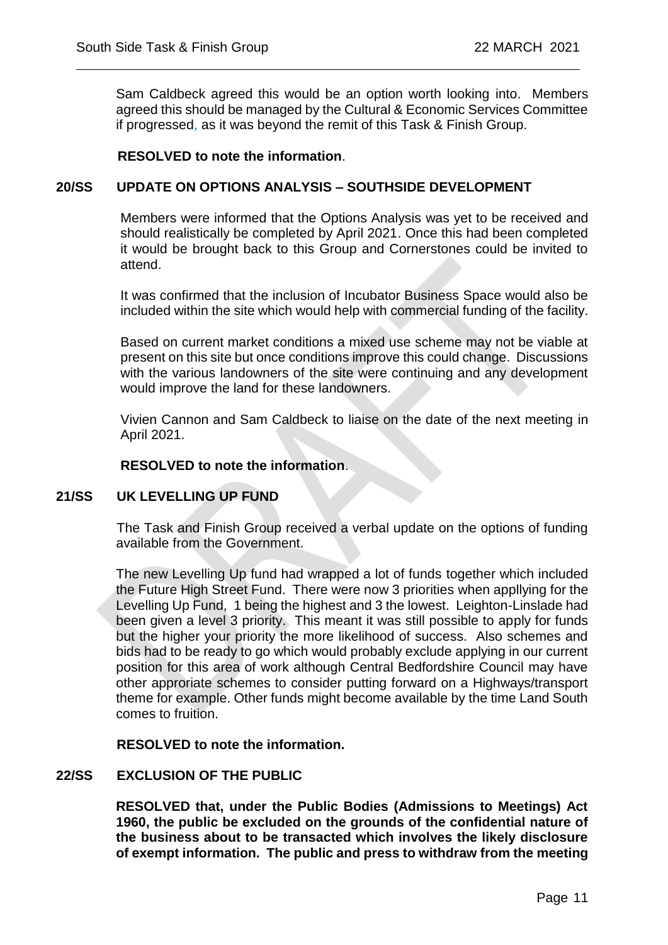Sam Caldbeck agreed this would be an option worth looking into. Members agreed this should be managed by the Cultural & Economic Services Committee if progressed, as it was beyond the remit of this Task & Finish Group.

#### **RESOLVED to note the information**.

#### **20/SS UPDATE ON OPTIONS ANALYSIS – SOUTHSIDE DEVELOPMENT**

 $\overline{a}$ 

Members were informed that the Options Analysis was yet to be received and should realistically be completed by April 2021. Once this had been completed it would be brought back to this Group and Cornerstones could be invited to attend.

It was confirmed that the inclusion of Incubator Business Space would also be included within the site which would help with commercial funding of the facility.

Based on current market conditions a mixed use scheme may not be viable at present on this site but once conditions improve this could change. Discussions with the various landowners of the site were continuing and any development would improve the land for these landowners.

Vivien Cannon and Sam Caldbeck to liaise on the date of the next meeting in April 2021.

#### **RESOLVED to note the information**.

#### **21/SS UK LEVELLING UP FUND**

The Task and Finish Group received a verbal update on the options of funding available from the Government.

The new Levelling Up fund had wrapped a lot of funds together which included the Future High Street Fund. There were now 3 priorities when appllying for the Levelling Up Fund, 1 being the highest and 3 the lowest. Leighton-Linslade had been given a level 3 priority. This meant it was still possible to apply for funds but the higher your priority the more likelihood of success. Also schemes and bids had to be ready to go which would probably exclude applying in our current position for this area of work although Central Bedfordshire Council may have other approriate schemes to consider putting forward on a Highways/transport theme for example. Other funds might become available by the time Land South comes to fruition.

**RESOLVED to note the information.**

#### **22/SS EXCLUSION OF THE PUBLIC**

**RESOLVED that, under the Public Bodies (Admissions to Meetings) Act 1960, the public be excluded on the grounds of the confidential nature of the business about to be transacted which involves the likely disclosure of exempt information. The public and press to withdraw from the meeting**